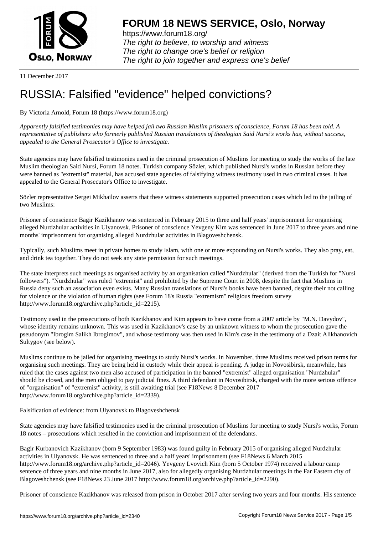

https://www.forum18.org/ The right to believe, to worship and witness The right to change one's belief or religion [The right to join together a](https://www.forum18.org/)nd express one's belief

11 December 2017

# [RUSSIA: Falsifi](https://www.forum18.org)ed "evidence" helped convictions?

By Victoria Arnold, Forum 18 (https://www.forum18.org)

*Apparently falsified testimonies may have helped jail two Russian Muslim prisoners of conscience, Forum 18 has been told. A representative of publishers who formerly published Russian translations of theologian Said Nursi's works has, without success, appealed to the General Prosecutor's Office to investigate.*

State agencies may have falsified testimonies used in the criminal prosecution of Muslims for meeting to study the works of the late Muslim theologian Said Nursi, Forum 18 notes. Turkish company Sözler, which published Nursi's works in Russian before they were banned as "extremist" material, has accused state agencies of falsifying witness testimony used in two criminal cases. It has appealed to the General Prosecutor's Office to investigate.

Sözler representative Sergei Mikhailov asserts that these witness statements supported prosecution cases which led to the jailing of two Muslims:

Prisoner of conscience Bagir Kazikhanov was sentenced in February 2015 to three and half years' imprisonment for organising alleged Nurdzhular activities in Ulyanovsk. Prisoner of conscience Yevgeny Kim was sentenced in June 2017 to three years and nine months' imprisonment for organising alleged Nurdzhular activities in Blagoveshchensk.

Typically, such Muslims meet in private homes to study Islam, with one or more expounding on Nursi's works. They also pray, eat, and drink tea together. They do not seek any state permission for such meetings.

The state interprets such meetings as organised activity by an organisation called "Nurdzhular" (derived from the Turkish for "Nursi followers"). "Nurdzhular" was ruled "extremist" and prohibited by the Supreme Court in 2008, despite the fact that Muslims in Russia deny such an association even exists. Many Russian translations of Nursi's books have been banned, despite their not calling for violence or the violation of human rights (see Forum 18's Russia "extremism" religious freedom survey http://www.forum18.org/archive.php?article\_id=2215).

Testimony used in the prosecutions of both Kazikhanov and Kim appears to have come from a 2007 article by "M.N. Davydov", whose identity remains unknown. This was used in Kazikhanov's case by an unknown witness to whom the prosecution gave the pseudonym "Ibrogim Salikh Ibrogimov", and whose testimony was then used in Kim's case in the testimony of a Dzait Alikhanovich Sultygov (see below).

Muslims continue to be jailed for organising meetings to study Nursi's works. In November, three Muslims received prison terms for organising such meetings. They are being held in custody while their appeal is pending. A judge in Novosibirsk, meanwhile, has ruled that the cases against two men also accused of participation in the banned "extremist" alleged organisation "Nurdzhular" should be closed, and the men obliged to pay judicial fines. A third defendant in Novosibirsk, charged with the more serious offence of "organisation" of "extremist" activity, is still awaiting trial (see F18News 8 December 2017 http://www.forum18.org/archive.php?article\_id=2339).

Falsification of evidence: from Ulyanovsk to Blagoveshchensk

State agencies may have falsified testimonies used in the criminal prosecution of Muslims for meeting to study Nursi's works, Forum 18 notes – prosecutions which resulted in the conviction and imprisonment of the defendants.

Bagir Kurbanovich Kazikhanov (born 9 September 1983) was found guilty in February 2015 of organising alleged Nurdzhular activities in Ulyanovsk. He was sentenced to three and a half years' imprisonment (see F18News 6 March 2015 http://www.forum18.org/archive.php?article\_id=2046). Yevgeny Lvovich Kim (born 5 October 1974) received a labour camp sentence of three years and nine months in June 2017, also for allegedly organising Nurdzhular meetings in the Far Eastern city of Blagoveshchensk (see F18News 23 June 2017 http://www.forum18.org/archive.php?article\_id=2290).

Prisoner of conscience Kazikhanov was released from prison in October 2017 after serving two years and four months. His sentence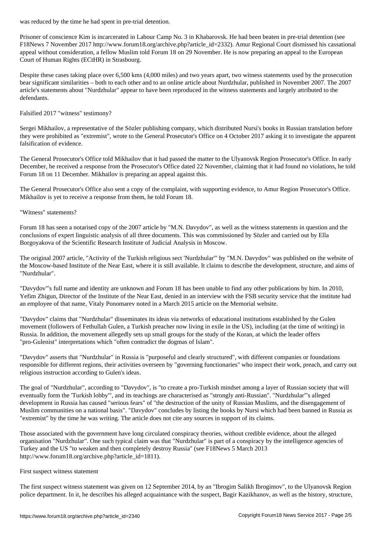Prisoner of conscience Kim is incarcerated in Labour Camp No. 3 in Khabarovsk. He had been beaten in pre-trial detention (see F18News 7 November 2017 http://www.forum18.org/archive.php?article\_id=2332). Amur Regional Court dismissed his cassational appeal without consideration, a fellow Muslim told Forum 18 on 29 November. He is now preparing an appeal to the European Court of Human Rights (ECtHR) in Strasbourg.

Despite these cases taking place over 6,500 kms (4,000 miles) and two years apart, two witness statements used by the prosecution bear significant similarities – both to each other and to an online article about Nurdzhular, published in November 2007. The 2007 article's statements about "Nurdzhular" appear to have been reproduced in the witness statements and largely attributed to the defendants.

## Falsified 2017 "witness" testimony?

Sergei Mikhailov, a representative of the Sözler publishing company, which distributed Nursi's books in Russian translation before they were prohibited as "extremist", wrote to the General Prosecutor's Office on 4 October 2017 asking it to investigate the apparent falsification of evidence.

The General Prosecutor's Office told Mikhailov that it had passed the matter to the Ulyanovsk Region Prosecutor's Office. In early December, he received a response from the Prosecutor's Office dated 22 November, claiming that it had found no violations, he told Forum 18 on 11 December. Mikhailov is preparing an appeal against this.

The General Prosecutor's Office also sent a copy of the complaint, with supporting evidence, to Amur Region Prosecutor's Office. Mikhailov is yet to receive a response from them, he told Forum 18.

## "Witness" statements?

Forum 18 has seen a notarised copy of the 2007 article by "M.N. Davydov", as well as the witness statements in question and the conclusions of expert linguistic analysis of all three documents. This was commissioned by Sözler and carried out by Ella Borgoyakova of the Scientific Research Institute of Judicial Analysis in Moscow.

The original 2007 article, "Activity of the Turkish religious sect 'Nurdzhular'" by "M.N. Davydov" was published on the website of the Moscow-based Institute of the Near East, where it is still available. It claims to describe the development, structure, and aims of "Nurdzhular".

"Davydov"'s full name and identity are unknown and Forum 18 has been unable to find any other publications by him. In 2010, Yefim Zhigun, Director of the Institute of the Near East, denied in an interview with the FSB security service that the institute had an employee of that name, Vitaly Ponomarev noted in a March 2015 article on the Memorial website.

"Davydov" claims that "Nurdzhular" disseminates its ideas via networks of educational institutions established by the Gulen movement (followers of Fethullah Gulen, a Turkish preacher now living in exile in the US), including (at the time of writing) in Russia. In addition, the movement allegedly sets up small groups for the study of the Koran, at which the leader offers "pro-Gulenist" interpretations which "often contradict the dogmas of Islam".

"Davydov" asserts that "Nurdzhular" in Russia is "purposeful and clearly structured", with different companies or foundations responsible for different regions, their activities overseen by "governing functionaries" who inspect their work, preach, and carry out religious instruction according to Gulen's ideas.

The goal of "Nurdzhular", according to "Davydov", is "to create a pro-Turkish mindset among a layer of Russian society that will eventually form the 'Turkish lobby'", and its teachings are characterised as "strongly anti-Russian". "Nurdzhular"'s alleged development in Russia has caused "serious fears" of "the destruction of the unity of Russian Muslims, and the disengagement of Muslim communities on a national basis". "Davydov" concludes by listing the books by Nursi which had been banned in Russia as "extremist" by the time he was writing. The article does not cite any sources in support of its claims.

Those associated with the government have long circulated conspiracy theories, without credible evidence, about the alleged organisation "Nurdzhular". One such typical claim was that "Nurdzhular" is part of a conspiracy by the intelligence agencies of Turkey and the US "to weaken and then completely destroy Russia" (see F18News 5 March 2013 http://www.forum18.org/archive.php?article\_id=1811).

#### First suspect witness statement

The first suspect witness statement was given on 12 September 2014, by an "Ibrogim Salikh Ibrogimov", to the Ulyanovsk Region police department. In it, he describes his alleged acquaintance with the suspect, Bagir Kazikhanov, as well as the history, structure,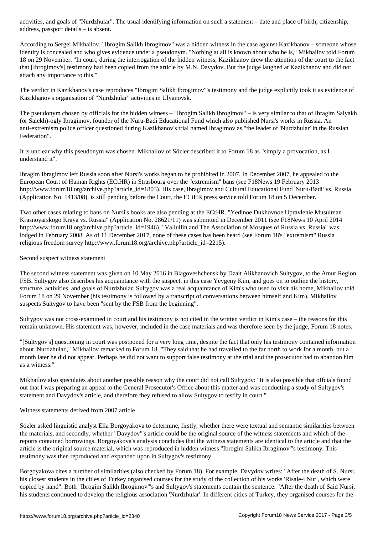address, passport details – is absent.

According to Sergei Mikhailov, "Ibrogim Salikh Ibrogimov" was a hidden witness in the case against Kazikhanov – someone whose identity is concealed and who gives evidence under a pseudonym. "Nothing at all is known about who he is," Mikhailov told Forum 18 on 29 November. "In court, during the interrogation of the hidden witness, Kazikhanov drew the attention of the court to the fact that [Ibrogimov's] testimony had been copied from the article by M.N. Davydov. But the judge laughed at Kazikhanov and did not attach any importance to this."

The verdict in Kazikhanov's case reproduces "Ibrogim Salikh Ibrogimov"'s testimony and the judge explicitly took it as evidence of Kazikhanov's organisation of "Nurdzhular" activities in Ulyanovsk.

The pseudonym chosen by officials for the hidden witness – "Ibrogim Salikh Ibrogimov" – is very similar to that of Ibragim Salyakh (or Salekh)-ogly Ibragimov, founder of the Nuru-Badi Educational Fund which also published Nursi's works in Russia. An anti-extremism police officer questioned during Kazikhanov's trial named Ibragimov as "the leader of 'Nurdzhular' in the Russian Federation".

It is unclear why this pseudonym was chosen. Mikhailov of Sözler described it to Forum 18 as "simply a provocation, as I understand it".

Ibragim Ibragimov left Russia soon after Nursi's works began to be prohibited in 2007. In December 2007, he appealed to the European Court of Human Rights (ECtHR) in Strasbourg over the "extremism" bans (see F18News 19 February 2013 http://www.forum18.org/archive.php?article\_id=1803). His case, Ibragimov and Cultural Educational Fund 'Nuru-Badi' vs. Russia (Application No. 1413/08), is still pending before the Court, the ECtHR press service told Forum 18 on 5 December.

Two other cases relating to bans on Nursi's books are also pending at the ECtHR. "Yedinoe Dukhovnoe Upravlenie Musulman Krasnoyarskogo Kraya vs. Russia" (Application No. 28621/11) was submitted in December 2011 (see F18News 10 April 2014 http://www.forum18.org/archive.php?article\_id=1946). "Valiullin and The Association of Mosques of Russia vs. Russia" was lodged in February 2008. As of 11 December 2017, none of these cases has been heard (see Forum 18's "extremism" Russia religious freedom survey http://www.forum18.org/archive.php?article\_id=2215).

## Second suspect witness statement

The second witness statement was given on 10 May 2016 in Blagoveshchensk by Dzait Alikhanovich Sultygov, to the Amur Region FSB. Sultygov also describes his acquaintance with the suspect, in this case Yevgeny Kim, and goes on to outline the history, structure, activities, and goals of Nurdzhular. Sultygov was a real acquaintance of Kim's who used to visit his home, Mikhailov told Forum 18 on 29 November (his testimony is followed by a transcript of conversations between himself and Kim). Mikhailov suspects Sultygov to have been "sent by the FSB from the beginning".

Sultygov was not cross-examined in court and his testimony is not cited in the written verdict in Kim's case – the reasons for this remain unknown. His statement was, however, included in the case materials and was therefore seen by the judge, Forum 18 notes.

"[Sultygov's] questioning in court was postponed for a very long time, despite the fact that only his testimony contained information about 'Nurdzhular'," Mikhailov remarked to Forum 18. "They said that he had travelled to the far north to work for a month, but a month later he did not appear. Perhaps he did not want to support false testimony at the trial and the prosecutor had to abandon him as a witness."

Mikhailov also speculates about another possible reason why the court did not call Sultygov: "It is also possible that offcials found out that I was preparing an appeal to the General Prosecutor's Office about this matter and was conducting a study of Sultygov's statement and Davydov's article, and therefore they refused to allow Sultygov to testify in court."

## Witness statements derived from 2007 article

Sözler asked linguistic analyst Ella Borgoyakova to determine, firstly, whether there were textual and semantic similarities between the materials, and secondly, whether "Davydov"'s article could be the original source of the witness statements and which of the reports contained borrowings. Borgoyakova's analysis concludes that the witness statements are identical to the article and that the article is the original source material, which was reproduced in hidden witness "Ibrogim Salikh Ibragimov"'s testimony. This testimony was then reproduced and expanded upon in Sultygov's testimony.

Borgoyakova cites a number of similarities (also checked by Forum 18). For example, Davydov writes: "After the death of S. Nursi, his closest students in the cities of Turkey organised courses for the study of the collection of his works 'Risale-i Nur', which were copied by hand". Both "Ibrogim Salikh Ibrogimov"'s and Sultygov's statements contain the sentence: "After the death of Said Nursi, his students continued to develop the religious association 'Nurdzhular'. In different cities of Turkey, they organised courses for the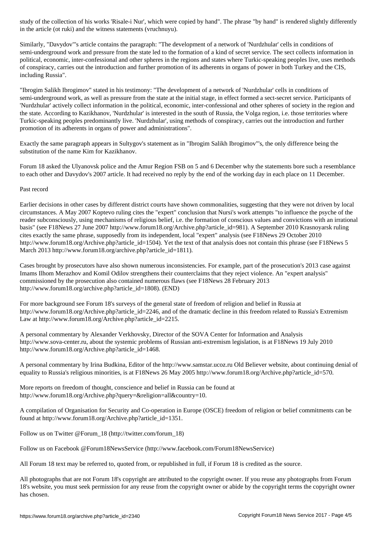in the article (ot ruki) and the witness statements (vruchnuyu).

Similarly, "Davydov"'s article contains the paragraph: "The development of a network of 'Nurdzhular' cells in conditions of semi-underground work and pressure from the state led to the formation of a kind of secret service. The sect collects information in political, economic, inter-confessional and other spheres in the regions and states where Turkic-speaking peoples live, uses methods of conspiracy, carries out the introduction and further promotion of its adherents in organs of power in both Turkey and the CIS, including Russia".

"Ibrogim Salikh Ibrogimov" stated in his testimony: "The development of a network of 'Nurdzhular' cells in conditions of semi-underground work, as well as pressure from the state at the initial stage, in effect formed a sect-secret service. Participants of 'Nurdzhular' actively collect information in the political, economic, inter-confessional and other spheres of society in the region and the state. According to Kazikhanov, 'Nurdzhular' is interested in the south of Russia, the Volga region, i.e. those territories where Turkic-speaking peoples predominantly live. 'Nurdzhular', using methods of conspiracy, carries out the introduction and further promotion of its adherents in organs of power and administrations".

Exactly the same paragraph appears in Sultygov's statement as in "Ibrogim Salikh Ibrogimov"'s, the only difference being the substitution of the name Kim for Kazikhanov.

Forum 18 asked the Ulyanovsk police and the Amur Region FSB on 5 and 6 December why the statements bore such a resemblance to each other and Davydov's 2007 article. It had received no reply by the end of the working day in each place on 11 December.

## Past record

Earlier decisions in other cases by different district courts have shown commonalities, suggesting that they were not driven by local circumstances. A May 2007 Koptevo ruling cites the "expert" conclusion that Nursi's work attempts "to influence the psyche of the reader subconsciously, using mechanisms of religious belief, i.e. the formation of conscious values and convictions with an irrational basis" (see F18News 27 June 2007 http://www.forum18.org/Archive.php?article\_id=981). A September 2010 Krasnoyarsk ruling cites exactly the same phrase, supposedly from its independent, local "expert" analysis (see F18News 29 October 2010 http://www.forum18.org/Archive.php?article\_id=1504). Yet the text of that analysis does not contain this phrase (see F18News 5 March 2013 http://www.forum18.org/archive.php?article\_id=1811).

Cases brought by prosecutors have also shown numerous inconsistencies. For example, part of the prosecution's 2013 case against Imams Ilhom Merazhov and Komil Odilov strengthens their counterclaims that they reject violence. An "expert analysis" commissioned by the prosecution also contained numerous flaws (see F18News 28 February 2013 http://www.forum18.org/archive.php?article\_id=1808). (END)

For more background see Forum 18's surveys of the general state of freedom of religion and belief in Russia at http://www.forum18.org/Archive.php?article\_id=2246, and of the dramatic decline in this freedom related to Russia's Extremism Law at http://www.forum18.org/Archive.php?article\_id=2215.

A personal commentary by Alexander Verkhovsky, Director of the SOVA Center for Information and Analysis http://www.sova-center.ru, about the systemic problems of Russian anti-extremism legislation, is at F18News 19 July 2010 http://www.forum18.org/Archive.php?article\_id=1468.

A personal commentary by Irina Budkina, Editor of the http://www.samstar.ucoz.ru Old Believer website, about continuing denial of equality to Russia's religious minorities, is at F18News 26 May 2005 http://www.forum18.org/Archive.php?article\_id=570.

More reports on freedom of thought, conscience and belief in Russia can be found at http://www.forum18.org/Archive.php?query=&religion=all&country=10.

A compilation of Organisation for Security and Co-operation in Europe (OSCE) freedom of religion or belief commitments can be found at http://www.forum18.org/Archive.php?article\_id=1351.

Follow us on Twitter @Forum\_18 (http://twitter.com/forum\_18)

Follow us on Facebook @Forum18NewsService (http://www.facebook.com/Forum18NewsService)

All Forum 18 text may be referred to, quoted from, or republished in full, if Forum 18 is credited as the source.

All photographs that are not Forum 18's copyright are attributed to the copyright owner. If you reuse any photographs from Forum 18's website, you must seek permission for any reuse from the copyright owner or abide by the copyright terms the copyright owner has chosen.